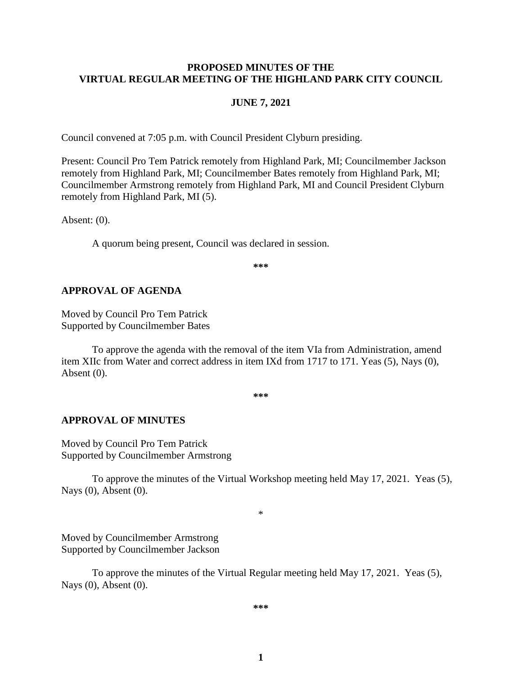#### **PROPOSED MINUTES OF THE VIRTUAL REGULAR MEETING OF THE HIGHLAND PARK CITY COUNCIL**

#### **JUNE 7, 2021**

Council convened at 7:05 p.m. with Council President Clyburn presiding.

Present: Council Pro Tem Patrick remotely from Highland Park, MI; Councilmember Jackson remotely from Highland Park, MI; Councilmember Bates remotely from Highland Park, MI; Councilmember Armstrong remotely from Highland Park, MI and Council President Clyburn remotely from Highland Park, MI (5).

Absent: (0).

A quorum being present, Council was declared in session.

**\*\*\***

#### **APPROVAL OF AGENDA**

Moved by Council Pro Tem Patrick Supported by Councilmember Bates

To approve the agenda with the removal of the item VIa from Administration, amend item XIIc from Water and correct address in item IXd from 1717 to 171. Yeas (5), Nays (0), Absent (0).

**\*\*\***

#### **APPROVAL OF MINUTES**

Moved by Council Pro Tem Patrick Supported by Councilmember Armstrong

To approve the minutes of the Virtual Workshop meeting held May 17, 2021.Yeas (5), Nays (0), Absent (0).

\*

Moved by Councilmember Armstrong Supported by Councilmember Jackson

To approve the minutes of the Virtual Regular meeting held May 17, 2021.Yeas (5), Nays (0), Absent (0).

**\*\*\***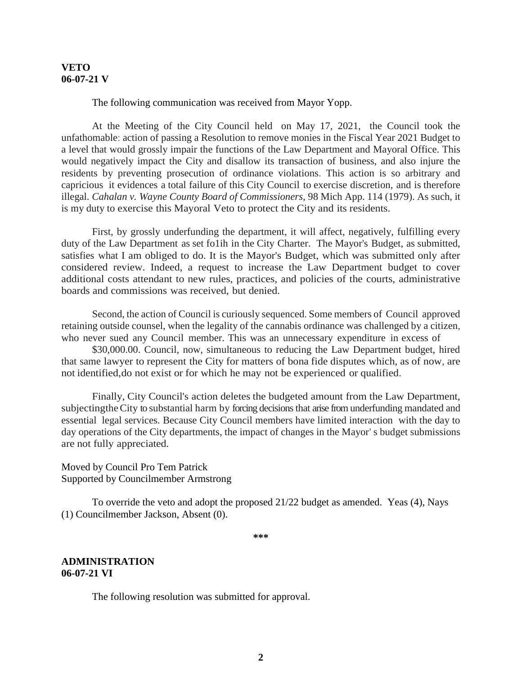#### **VETO 06-07-21 V**

The following communication was received from Mayor Yopp.

At the Meeting of the City Council held on May 17, 2021, the Council took the unfathomable: action of passing a Resolution to remove monies in the Fiscal Year 2021 Budget to a level that would grossly impair the functions of the Law Department and Mayoral Office. This would negatively impact the City and disallow its transaction of business, and also injure the residents by preventing prosecution of ordinance violations. This action is so arbitrary and capricious it evidences a total failure of this City Council to exercise discretion, and is therefore illegal. *Cahalan v. Wayne County Board of Commissioners,* 98 Mich App. 114 (1979). As such, it is my duty to exercise this Mayoral Veto to protect the City and its residents.

First, by grossly underfunding the department, it will affect, negatively, fulfilling every duty of the Law Department as set fo1ih in the City Charter. The Mayor's Budget, as submitted, satisfies what I am obliged to do. It is the Mayor's Budget, which was submitted only after considered review. Indeed, a request to increase the Law Department budget to cover additional costs attendant to new rules, practices, and policies of the courts, administrative boards and commissions was received, but denied.

Second, the action of Council is curiously sequenced. Some members of Council approved retaining outside counsel, when the legality of the cannabis ordinance was challenged by a citizen, who never sued any Council member. This was an unnecessary expenditure in excess of

\$30,000.00. Council, now, simultaneous to reducing the Law Department budget, hired that same lawyer to represent the City for matters of bona fide disputes which, as of now, are not identified,do not exist or for which he may not be experienced or qualified.

Finally, City Council's action deletes the budgeted amount from the Law Department, subjecting the City to substantial harm by forcing decisions that arise from underfunding mandated and essential legal services. Because City Council members have limited interaction with the day to day operations of the City departments, the impact of changes in the Mayor' s budget submissions are not fully appreciated.

Moved by Council Pro Tem Patrick Supported by Councilmember Armstrong

To override the veto and adopt the proposed 21/22 budget as amended. Yeas (4), Nays (1) Councilmember Jackson, Absent (0).

**\*\*\***

#### **ADMINISTRATION 06-07-21 VI**

The following resolution was submitted for approval.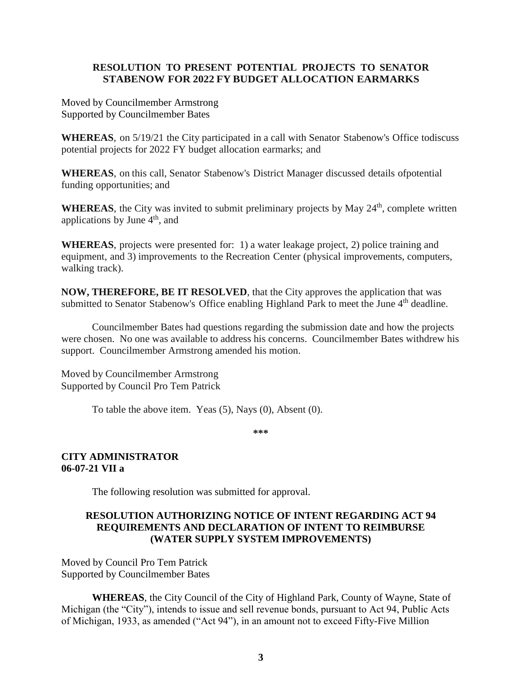## **RESOLUTION TO PRESENT POTENTIAL PROJECTS TO SENATOR STABENOW FOR 2022 FY BUDGET ALLOCATION EARMARKS**

Moved by Councilmember Armstrong Supported by Councilmember Bates

**WHEREAS**, on 5/19/21 the City participated in a call with Senator Stabenow's Office todiscuss potential projects for 2022 FY budget allocation earmarks; and

**WHEREAS**, on this call, Senator Stabenow's District Manager discussed details ofpotential funding opportunities; and

**WHEREAS**, the City was invited to submit preliminary projects by May 24<sup>th</sup>, complete written applications by June  $4<sup>th</sup>$ , and

**WHEREAS**, projects were presented for: 1) a water leakage project, 2) police training and equipment, and 3) improvements to the Recreation Center (physical improvements, computers, walking track).

**NOW, THEREFORE, BE IT RESOLVED**, that the City approves the application that was submitted to Senator Stabenow's Office enabling Highland Park to meet the June 4<sup>th</sup> deadline.

Councilmember Bates had questions regarding the submission date and how the projects were chosen. No one was available to address his concerns. Councilmember Bates withdrew his support. Councilmember Armstrong amended his motion.

Moved by Councilmember Armstrong Supported by Council Pro Tem Patrick

To table the above item. Yeas (5), Nays (0), Absent (0).

**\*\*\***

## **CITY ADMINISTRATOR 06-07-21 VII a**

The following resolution was submitted for approval.

# **RESOLUTION AUTHORIZING NOTICE OF INTENT REGARDING ACT 94 REQUIREMENTS AND DECLARATION OF INTENT TO REIMBURSE (WATER SUPPLY SYSTEM IMPROVEMENTS)**

Moved by Council Pro Tem Patrick Supported by Councilmember Bates

**WHEREAS**, the City Council of the City of Highland Park, County of Wayne, State of Michigan (the "City"), intends to issue and sell revenue bonds, pursuant to Act 94, Public Acts of Michigan, 1933, as amended ("Act 94"), in an amount not to exceed Fifty-Five Million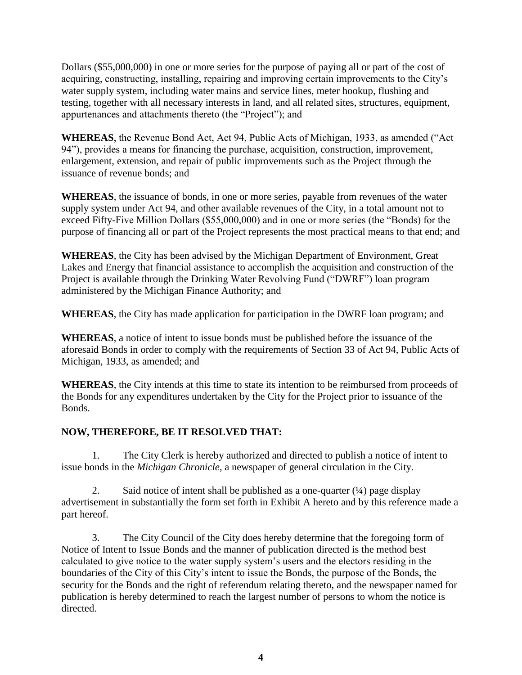Dollars (\$55,000,000) in one or more series for the purpose of paying all or part of the cost of acquiring, constructing, installing, repairing and improving certain improvements to the City's water supply system, including water mains and service lines, meter hookup, flushing and testing, together with all necessary interests in land, and all related sites, structures, equipment, appurtenances and attachments thereto (the "Project"); and

**WHEREAS**, the Revenue Bond Act, Act 94, Public Acts of Michigan, 1933, as amended ("Act 94"), provides a means for financing the purchase, acquisition, construction, improvement, enlargement, extension, and repair of public improvements such as the Project through the issuance of revenue bonds; and

**WHEREAS**, the issuance of bonds, in one or more series, payable from revenues of the water supply system under Act 94, and other available revenues of the City, in a total amount not to exceed Fifty-Five Million Dollars (\$55,000,000) and in one or more series (the "Bonds) for the purpose of financing all or part of the Project represents the most practical means to that end; and

**WHEREAS**, the City has been advised by the Michigan Department of Environment, Great Lakes and Energy that financial assistance to accomplish the acquisition and construction of the Project is available through the Drinking Water Revolving Fund ("DWRF") loan program administered by the Michigan Finance Authority; and

**WHEREAS**, the City has made application for participation in the DWRF loan program; and

**WHEREAS**, a notice of intent to issue bonds must be published before the issuance of the aforesaid Bonds in order to comply with the requirements of Section 33 of Act 94, Public Acts of Michigan, 1933, as amended; and

**WHEREAS**, the City intends at this time to state its intention to be reimbursed from proceeds of the Bonds for any expenditures undertaken by the City for the Project prior to issuance of the Bonds.

# **NOW, THEREFORE, BE IT RESOLVED THAT:**

1. The City Clerk is hereby authorized and directed to publish a notice of intent to issue bonds in the *Michigan Chronicle*, a newspaper of general circulation in the City.

2. Said notice of intent shall be published as a one-quarter  $(1/4)$  page display advertisement in substantially the form set forth in Exhibit A hereto and by this reference made a part hereof.

3. The City Council of the City does hereby determine that the foregoing form of Notice of Intent to Issue Bonds and the manner of publication directed is the method best calculated to give notice to the water supply system's users and the electors residing in the boundaries of the City of this City's intent to issue the Bonds, the purpose of the Bonds, the security for the Bonds and the right of referendum relating thereto, and the newspaper named for publication is hereby determined to reach the largest number of persons to whom the notice is directed.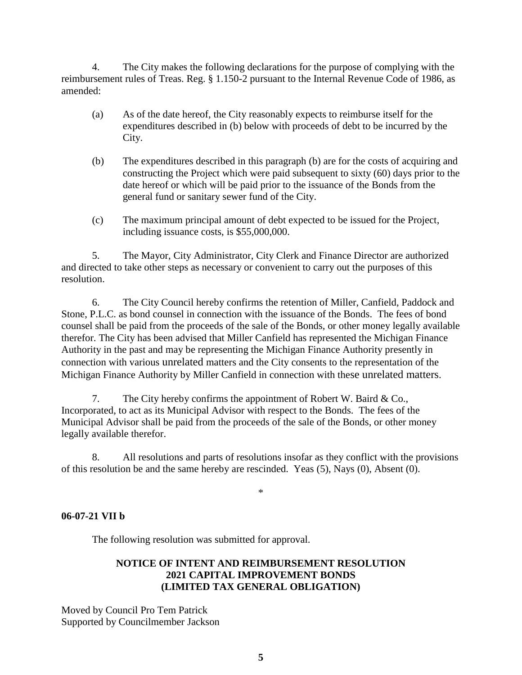4. The City makes the following declarations for the purpose of complying with the reimbursement rules of Treas. Reg. § 1.150-2 pursuant to the Internal Revenue Code of 1986, as amended:

- (a) As of the date hereof, the City reasonably expects to reimburse itself for the expenditures described in (b) below with proceeds of debt to be incurred by the City.
- (b) The expenditures described in this paragraph (b) are for the costs of acquiring and constructing the Project which were paid subsequent to sixty (60) days prior to the date hereof or which will be paid prior to the issuance of the Bonds from the general fund or sanitary sewer fund of the City.
- (c) The maximum principal amount of debt expected to be issued for the Project, including issuance costs, is \$55,000,000.

5. The Mayor, City Administrator, City Clerk and Finance Director are authorized and directed to take other steps as necessary or convenient to carry out the purposes of this resolution.

6. The City Council hereby confirms the retention of Miller, Canfield, Paddock and Stone, P.L.C. as bond counsel in connection with the issuance of the Bonds. The fees of bond counsel shall be paid from the proceeds of the sale of the Bonds, or other money legally available therefor. The City has been advised that Miller Canfield has represented the Michigan Finance Authority in the past and may be representing the Michigan Finance Authority presently in connection with various unrelated matters and the City consents to the representation of the Michigan Finance Authority by Miller Canfield in connection with these unrelated matters.

7. The City hereby confirms the appointment of Robert W. Baird & Co., Incorporated, to act as its Municipal Advisor with respect to the Bonds. The fees of the Municipal Advisor shall be paid from the proceeds of the sale of the Bonds, or other money legally available therefor.

8. All resolutions and parts of resolutions insofar as they conflict with the provisions of this resolution be and the same hereby are rescinded. Yeas (5), Nays (0), Absent (0).

\*

# **06-07-21 VII b**

The following resolution was submitted for approval.

## **NOTICE OF INTENT AND REIMBURSEMENT RESOLUTION 2021 CAPITAL IMPROVEMENT BONDS (LIMITED TAX GENERAL OBLIGATION)**

Moved by Council Pro Tem Patrick Supported by Councilmember Jackson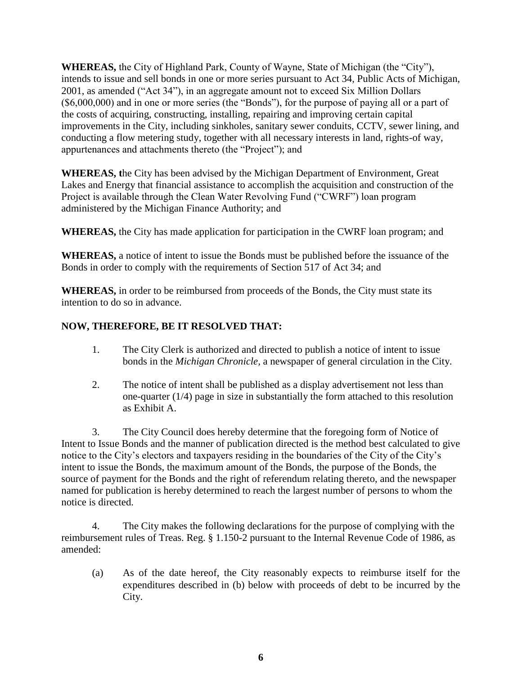**WHEREAS,** the City of Highland Park, County of Wayne, State of Michigan (the "City"), intends to issue and sell bonds in one or more series pursuant to Act 34, Public Acts of Michigan, 2001, as amended ("Act 34"), in an aggregate amount not to exceed Six Million Dollars (\$6,000,000) and in one or more series (the "Bonds"), for the purpose of paying all or a part of the costs of acquiring, constructing, installing, repairing and improving certain capital improvements in the City, including sinkholes, sanitary sewer conduits, CCTV, sewer lining, and conducting a flow metering study, together with all necessary interests in land, rights-of way, appurtenances and attachments thereto (the "Project"); and

**WHEREAS, t**he City has been advised by the Michigan Department of Environment, Great Lakes and Energy that financial assistance to accomplish the acquisition and construction of the Project is available through the Clean Water Revolving Fund ("CWRF") loan program administered by the Michigan Finance Authority; and

**WHEREAS,** the City has made application for participation in the CWRF loan program; and

**WHEREAS,** a notice of intent to issue the Bonds must be published before the issuance of the Bonds in order to comply with the requirements of Section 517 of Act 34; and

**WHEREAS,** in order to be reimbursed from proceeds of the Bonds, the City must state its intention to do so in advance.

# **NOW, THEREFORE, BE IT RESOLVED THAT:**

- 1. The City Clerk is authorized and directed to publish a notice of intent to issue bonds in the *Michigan Chronicle,* a newspaper of general circulation in the City.
- 2. The notice of intent shall be published as a display advertisement not less than one-quarter (1/4) page in size in substantially the form attached to this resolution as Exhibit A.

3. The City Council does hereby determine that the foregoing form of Notice of Intent to Issue Bonds and the manner of publication directed is the method best calculated to give notice to the City's electors and taxpayers residing in the boundaries of the City of the City's intent to issue the Bonds, the maximum amount of the Bonds, the purpose of the Bonds, the source of payment for the Bonds and the right of referendum relating thereto, and the newspaper named for publication is hereby determined to reach the largest number of persons to whom the notice is directed.

4. The City makes the following declarations for the purpose of complying with the reimbursement rules of Treas. Reg. § 1.150-2 pursuant to the Internal Revenue Code of 1986, as amended:

(a) As of the date hereof, the City reasonably expects to reimburse itself for the expenditures described in (b) below with proceeds of debt to be incurred by the City.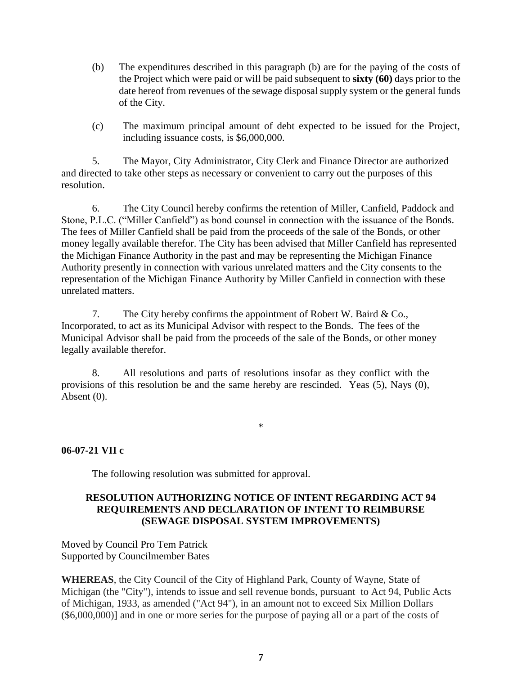- (b) The expenditures described in this paragraph (b) are for the paying of the costs of the Project which were paid or will be paid subsequent to **sixty (60)** days prior to the date hereof from revenues of the sewage disposal supply system or the general funds of the City.
- (c) The maximum principal amount of debt expected to be issued for the Project, including issuance costs, is \$6,000,000.

5. The Mayor, City Administrator, City Clerk and Finance Director are authorized and directed to take other steps as necessary or convenient to carry out the purposes of this resolution.

6. The City Council hereby confirms the retention of Miller, Canfield, Paddock and Stone, P.L.C. ("Miller Canfield") as bond counsel in connection with the issuance of the Bonds. The fees of Miller Canfield shall be paid from the proceeds of the sale of the Bonds, or other money legally available therefor. The City has been advised that Miller Canfield has represented the Michigan Finance Authority in the past and may be representing the Michigan Finance Authority presently in connection with various unrelated matters and the City consents to the representation of the Michigan Finance Authority by Miller Canfield in connection with these unrelated matters.

7. The City hereby confirms the appointment of Robert W. Baird & Co., Incorporated, to act as its Municipal Advisor with respect to the Bonds. The fees of the Municipal Advisor shall be paid from the proceeds of the sale of the Bonds, or other money legally available therefor.

8. All resolutions and parts of resolutions insofar as they conflict with the provisions of this resolution be and the same hereby are rescinded. Yeas (5), Nays (0), Absent (0).

## **06-07-21 VII c**

The following resolution was submitted for approval.

## **RESOLUTION AUTHORIZING NOTICE OF INTENT REGARDING ACT 94 REQUIREMENTS AND DECLARATION OF INTENT TO REIMBURSE (SEWAGE DISPOSAL SYSTEM IMPROVEMENTS)**

\*

Moved by Council Pro Tem Patrick Supported by Councilmember Bates

**WHEREAS**, the City Council of the City of Highland Park, County of Wayne, State of Michigan (the "City"), intends to issue and sell revenue bonds, pursuant to Act 94, Public Acts of Michigan, 1933, as amended ("Act 94"), in an amount not to exceed Six Million Dollars (\$6,000,000)] and in one or more series for the purpose of paying all or a part of the costs of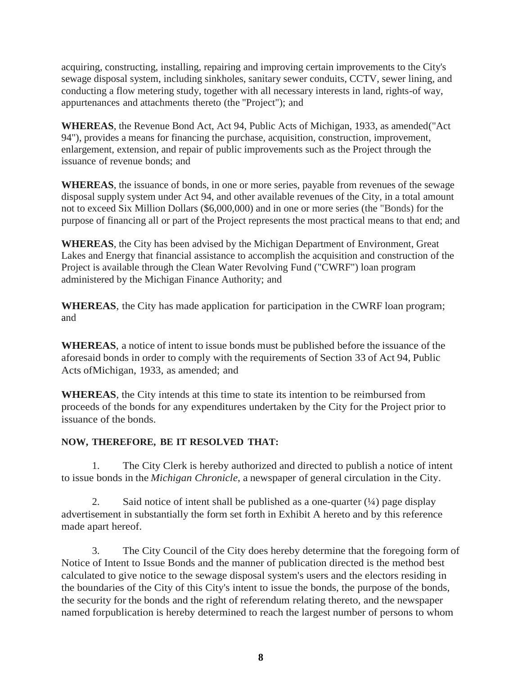acquiring, constructing, installing, repairing and improving certain improvements to the City's sewage disposal system, including sinkholes, sanitary sewer conduits, CCTV, sewer lining, and conducting a flow metering study, together with all necessary interests in land, rights-of way, appurtenances and attachments thereto (the "Project"); and

**WHEREAS**, the Revenue Bond Act, Act 94, Public Acts of Michigan, 1933, as amended("Act 94"), provides a means for financing the purchase, acquisition, construction, improvement, enlargement, extension, and repair of public improvements such as the Project through the issuance of revenue bonds; and

**WHEREAS**, the issuance of bonds, in one or more series, payable from revenues of the sewage disposal supply system under Act 94, and other available revenues of the City, in a total amount not to exceed Six Million Dollars (\$6,000,000) and in one or more series (the "Bonds) for the purpose of financing all or part of the Project represents the most practical means to that end; and

**WHEREAS**, the City has been advised by the Michigan Department of Environment, Great Lakes and Energy that financial assistance to accomplish the acquisition and construction of the Project is available through the Clean Water Revolving Fund ("CWRF") loan program administered by the Michigan Finance Authority; and

**WHEREAS**, the City has made application for participation in the CWRF loan program; and

**WHEREAS**, a notice of intent to issue bonds must be published before the issuance of the aforesaid bonds in order to comply with the requirements of Section 33 of Act 94, Public Acts ofMichigan, 1933, as amended; and

**WHEREAS**, the City intends at this time to state its intention to be reimbursed from proceeds of the bonds for any expenditures undertaken by the City for the Project prior to issuance of the bonds.

# **NOW, THEREFORE, BE IT RESOLVED THAT:**

1. The City Clerk is hereby authorized and directed to publish a notice of intent to issue bonds in the *Michigan Chronicle,* a newspaper of general circulation in the City.

2. Said notice of intent shall be published as a one-quarter  $(1/4)$  page display advertisement in substantially the form set forth in Exhibit A hereto and by this reference made apart hereof.

3. The City Council of the City does hereby determine that the foregoing form of Notice of Intent to Issue Bonds and the manner of publication directed is the method best calculated to give notice to the sewage disposal system's users and the electors residing in the boundaries of the City of this City's intent to issue the bonds, the purpose of the bonds, the security for the bonds and the right of referendum relating thereto, and the newspaper named forpublication is hereby determined to reach the largest number of persons to whom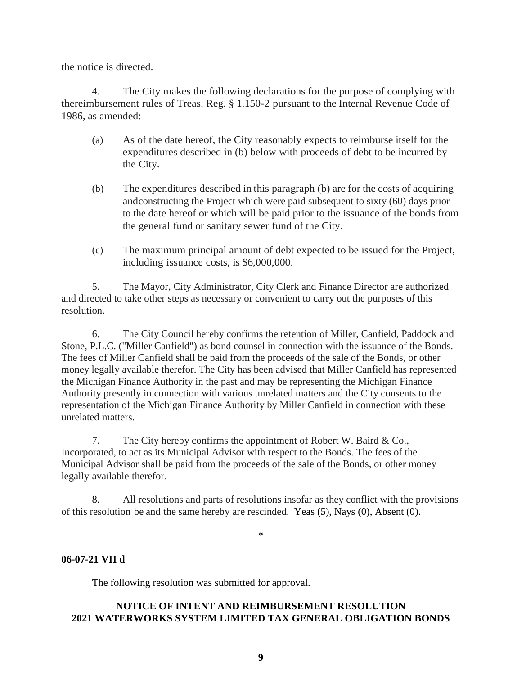the notice is directed.

4. The City makes the following declarations for the purpose of complying with thereimbursement rules of Treas. Reg. § 1.150-2 pursuant to the Internal Revenue Code of 1986, as amended:

- (a) As of the date hereof, the City reasonably expects to reimburse itself for the expenditures described in (b) below with proceeds of debt to be incurred by the City.
- (b) The expenditures described in this paragraph (b) are for the costs of acquiring andconstructing the Project which were paid subsequent to sixty (60) days prior to the date hereof or which will be paid prior to the issuance of the bonds from the general fund or sanitary sewer fund of the City.
- (c) The maximum principal amount of debt expected to be issued for the Project, including issuance costs, is \$6,000,000.

5. The Mayor, City Administrator, City Clerk and Finance Director are authorized and directed to take other steps as necessary or convenient to carry out the purposes of this resolution.

6. The City Council hereby confirms the retention of Miller, Canfield, Paddock and Stone, P.L.C. ("Miller Canfield") as bond counsel in connection with the issuance of the Bonds. The fees of Miller Canfield shall be paid from the proceeds of the sale of the Bonds, or other money legally available therefor. The City has been advised that Miller Canfield has represented the Michigan Finance Authority in the past and may be representing the Michigan Finance Authority presently in connection with various unrelated matters and the City consents to the representation of the Michigan Finance Authority by Miller Canfield in connection with these unrelated matters.

7. The City hereby confirms the appointment of Robert W. Baird & Co., Incorporated, to act as its Municipal Advisor with respect to the Bonds. The fees of the Municipal Advisor shall be paid from the proceeds of the sale of the Bonds, or other money legally available therefor.

8. All resolutions and parts of resolutions insofar as they conflict with the provisions of this resolution be and the same hereby are rescinded. Yeas (5), Nays (0), Absent (0).

\*

## **06-07-21 VII d**

The following resolution was submitted for approval.

# **NOTICE OF INTENT AND REIMBURSEMENT RESOLUTION 2021 WATERWORKS SYSTEM LIMITED TAX GENERAL OBLIGATION BONDS**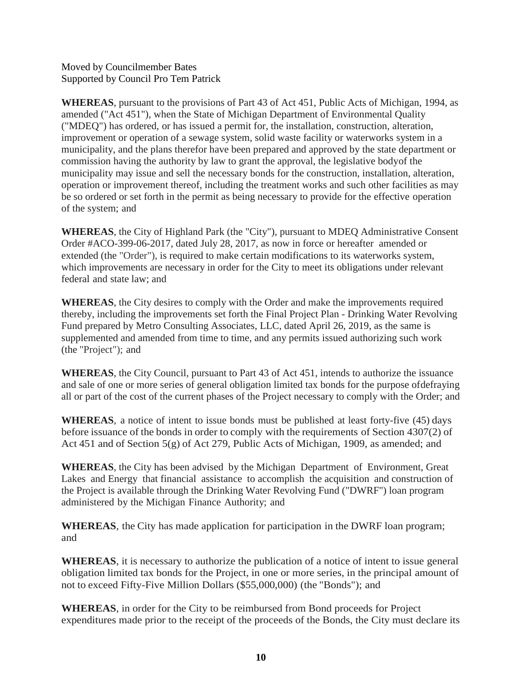Moved by Councilmember Bates Supported by Council Pro Tem Patrick

**WHEREAS**, pursuant to the provisions of Part 43 of Act 451, Public Acts of Michigan, 1994, as amended ("Act 451"), when the State of Michigan Department of Environmental Quality ("MDEQ") has ordered, or has issued a permit for, the installation, construction, alteration, improvement or operation of a sewage system, solid waste facility or waterworks system in a municipality, and the plans therefor have been prepared and approved by the state department or commission having the authority by law to grant the approval, the legislative bodyof the municipality may issue and sell the necessary bonds for the construction, installation, alteration, operation or improvement thereof, including the treatment works and such other facilities as may be so ordered or set forth in the permit as being necessary to provide for the effective operation of the system; and

**WHEREAS**, the City of Highland Park (the "City"), pursuant to MDEQ Administrative Consent Order #ACO-399-06-2017, dated July 28, 2017, as now in force or hereafter amended or extended (the "Order"), is required to make certain modifications to its waterworks system, which improvements are necessary in order for the City to meet its obligations under relevant federal and state law; and

**WHEREAS**, the City desires to comply with the Order and make the improvements required thereby, including the improvements set forth the Final Project Plan - Drinking Water Revolving Fund prepared by Metro Consulting Associates, LLC, dated April 26, 2019, as the same is supplemented and amended from time to time, and any permits issued authorizing such work (the "Project"); and

**WHEREAS**, the City Council, pursuant to Part 43 of Act 451, intends to authorize the issuance and sale of one or more series of general obligation limited tax bonds for the purpose ofdefraying all or part of the cost of the current phases of the Project necessary to comply with the Order; and

**WHEREAS**, a notice of intent to issue bonds must be published at least forty-five (45) days before issuance of the bonds in order to comply with the requirements of Section 4307(2) of Act 451 and of Section 5(g) of Act 279, Public Acts of Michigan, 1909, as amended; and

**WHEREAS**, the City has been advised by the Michigan Department of Environment, Great Lakes and Energy that financial assistance to accomplish the acquisition and construction of the Project is available through the Drinking Water Revolving Fund ("DWRF") loan program administered by the Michigan Finance Authority; and

**WHEREAS**, the City has made application for participation in the DWRF loan program; and

**WHEREAS**, it is necessary to authorize the publication of a notice of intent to issue general obligation limited tax bonds for the Project, in one or more series, in the principal amount of not to exceed Fifty-Five Million Dollars (\$55,000,000) (the "Bonds"); and

**WHEREAS**, in order for the City to be reimbursed from Bond proceeds for Project expenditures made prior to the receipt of the proceeds of the Bonds, the City must declare its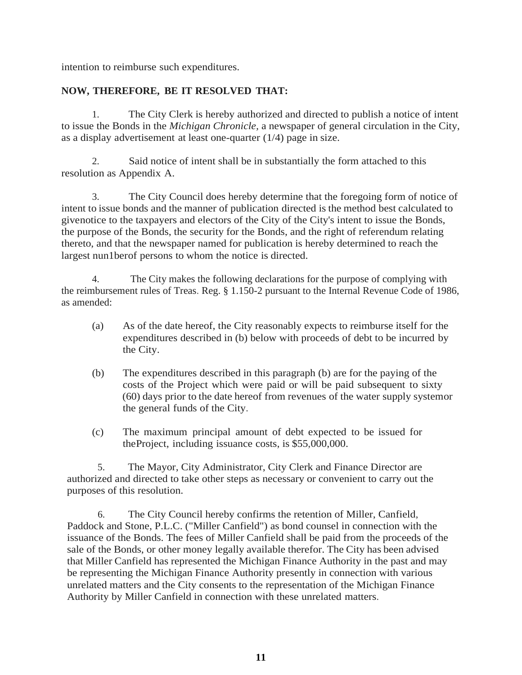intention to reimburse such expenditures.

# **NOW, THEREFORE, BE IT RESOLVED THAT:**

1. The City Clerk is hereby authorized and directed to publish a notice of intent to issue the Bonds in the *Michigan Chronicle,* a newspaper of general circulation in the City, as a display advertisement at least one-quarter (1/4) page in size.

2. Said notice of intent shall be in substantially the form attached to this resolution as Appendix A.

3. The City Council does hereby determine that the foregoing form of notice of intent to issue bonds and the manner of publication directed is the method best calculated to givenotice to the taxpayers and electors of the City of the City's intent to issue the Bonds, the purpose of the Bonds, the security for the Bonds, and the right of referendum relating thereto, and that the newspaper named for publication is hereby determined to reach the largest nun1berof persons to whom the notice is directed.

4. The City makes the following declarations for the purpose of complying with the reimbursement rules of Treas. Reg. § 1.150-2 pursuant to the Internal Revenue Code of 1986, as amended:

- (a) As of the date hereof, the City reasonably expects to reimburse itself for the expenditures described in (b) below with proceeds of debt to be incurred by the City.
- (b) The expenditures described in this paragraph (b) are for the paying of the costs of the Project which were paid or will be paid subsequent to sixty (60) days prior to the date hereof from revenues of the water supply systemor the general funds of the City.
- (c) The maximum principal amount of debt expected to be issued for theProject, including issuance costs, is \$55,000,000.

5. The Mayor, City Administrator, City Clerk and Finance Director are authorized and directed to take other steps as necessary or convenient to carry out the purposes of this resolution.

6. The City Council hereby confirms the retention of Miller, Canfield, Paddock and Stone, P.L.C. ("Miller Canfield") as bond counsel in connection with the issuance of the Bonds. The fees of Miller Canfield shall be paid from the proceeds of the sale of the Bonds, or other money legally available therefor. The City has been advised that Miller Canfield has represented the Michigan Finance Authority in the past and may be representing the Michigan Finance Authority presently in connection with various unrelated matters and the City consents to the representation of the Michigan Finance Authority by Miller Canfield in connection with these unrelated matters.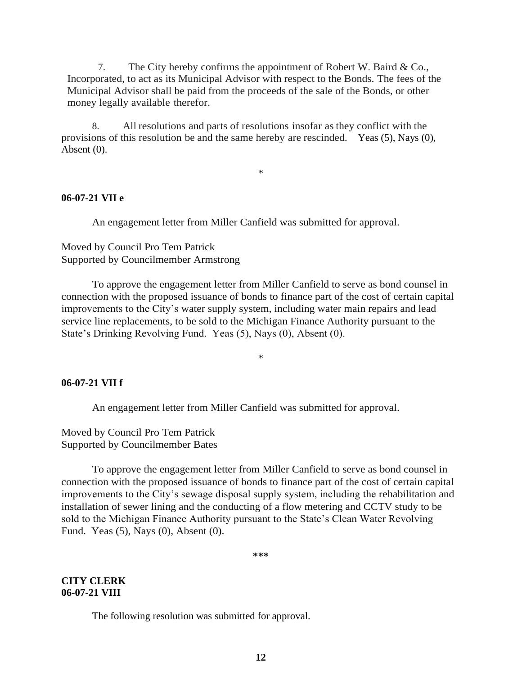7. The City hereby confirms the appointment of Robert W. Baird & Co., Incorporated, to act as its Municipal Advisor with respect to the Bonds. The fees of the Municipal Advisor shall be paid from the proceeds of the sale of the Bonds, or other money legally available therefor.

8. All resolutions and parts of resolutions insofar as they conflict with the provisions of this resolution be and the same hereby are rescinded.Yeas (5), Nays (0), Absent (0).

\*

#### **06-07-21 VII e**

An engagement letter from Miller Canfield was submitted for approval.

Moved by Council Pro Tem Patrick Supported by Councilmember Armstrong

To approve the engagement letter from Miller Canfield to serve as bond counsel in connection with the proposed issuance of bonds to finance part of the cost of certain capital improvements to the City's water supply system, including water main repairs and lead service line replacements, to be sold to the Michigan Finance Authority pursuant to the State's Drinking Revolving Fund. Yeas (5), Nays (0), Absent (0).

\*

#### **06-07-21 VII f**

An engagement letter from Miller Canfield was submitted for approval.

Moved by Council Pro Tem Patrick Supported by Councilmember Bates

To approve the engagement letter from Miller Canfield to serve as bond counsel in connection with the proposed issuance of bonds to finance part of the cost of certain capital improvements to the City's sewage disposal supply system, including the rehabilitation and installation of sewer lining and the conducting of a flow metering and CCTV study to be sold to the Michigan Finance Authority pursuant to the State's Clean Water Revolving Fund. Yeas (5), Nays (0), Absent (0).

**\*\*\***

#### **CITY CLERK 06-07-21 VIII**

The following resolution was submitted for approval.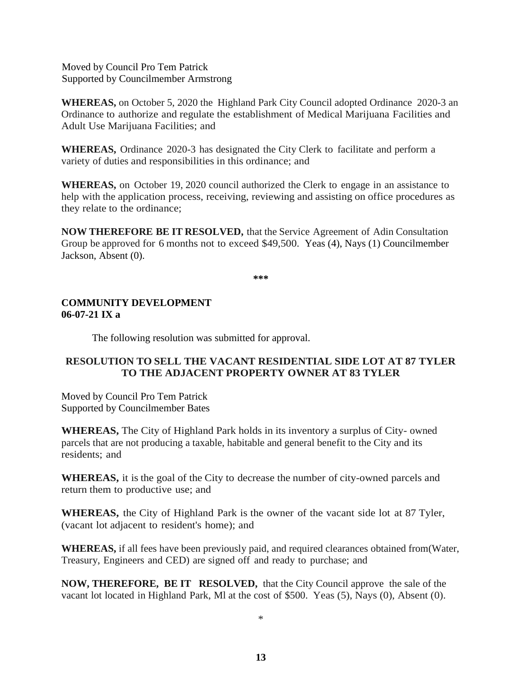Moved by Council Pro Tem Patrick Supported by Councilmember Armstrong

**WHEREAS,** on October 5, 2020 the Highland Park City Council adopted Ordinance 2020-3 an Ordinance to authorize and regulate the establishment of Medical Marijuana Facilities and Adult Use Marijuana Facilities; and

**WHEREAS,** Ordinance 2020-3 has designated the City Clerk to facilitate and perform a variety of duties and responsibilities in this ordinance; and

**WHEREAS,** on October 19, 2020 council authorized the Clerk to engage in an assistance to help with the application process, receiving, reviewing and assisting on office procedures as they relate to the ordinance;

**NOW THEREFORE BE IT RESOLVED,** that the Service Agreement of Adin Consultation Group be approved for 6 months not to exceed \$49,500. Yeas (4), Nays (1) Councilmember Jackson, Absent (0).

**\*\*\***

## **COMMUNITY DEVELOPMENT 06-07-21 IX a**

The following resolution was submitted for approval.

# **RESOLUTION TO SELL THE VACANT RESIDENTIAL SIDE LOT AT 87 TYLER TO THE ADJACENT PROPERTY OWNER AT 83 TYLER**

Moved by Council Pro Tem Patrick Supported by Councilmember Bates

**WHEREAS,** The City of Highland Park holds in its inventory a surplus of City- owned parcels that are not producing a taxable, habitable and general benefit to the City and its residents; and

**WHEREAS,** it is the goal of the City to decrease the number of city-owned parcels and return them to productive use; and

**WHEREAS,** the City of Highland Park is the owner of the vacant side lot at 87 Tyler, (vacant lot adjacent to resident's home); and

**WHEREAS,** if all fees have been previously paid, and required clearances obtained from(Water, Treasury, Engineers and CED) are signed off and ready to purchase; and

**NOW, THEREFORE, BE IT RESOLVED,** that the City Council approve the sale of the vacant lot located in Highland Park, Ml at the cost of \$500. Yeas (5), Nays (0), Absent (0).

\*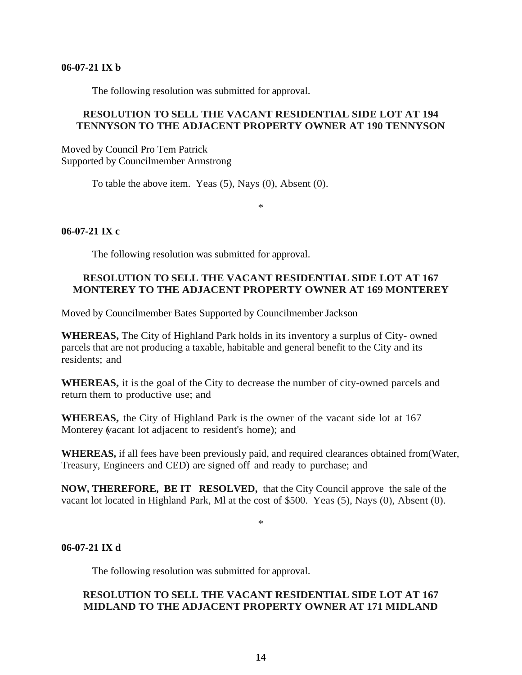#### **06-07-21 IX b**

The following resolution was submitted for approval.

## **RESOLUTION TO SELL THE VACANT RESIDENTIAL SIDE LOT AT 194 TENNYSON TO THE ADJACENT PROPERTY OWNER AT 190 TENNYSON**

Moved by Council Pro Tem Patrick Supported by Councilmember Armstrong

To table the above item. Yeas (5), Nays (0), Absent (0).

\*

## **06-07-21 IX c**

The following resolution was submitted for approval.

# **RESOLUTION TO SELL THE VACANT RESIDENTIAL SIDE LOT AT 167 MONTEREY TO THE ADJACENT PROPERTY OWNER AT 169 MONTEREY**

Moved by Councilmember Bates Supported by Councilmember Jackson

**WHEREAS,** The City of Highland Park holds in its inventory a surplus of City- owned parcels that are not producing a taxable, habitable and general benefit to the City and its residents; and

**WHEREAS,** it is the goal of the City to decrease the number of city-owned parcels and return them to productive use; and

**WHEREAS,** the City of Highland Park is the owner of the vacant side lot at 167 Monterey (vacant lot adjacent to resident's home); and

**WHEREAS,** if all fees have been previously paid, and required clearances obtained from(Water, Treasury, Engineers and CED) are signed off and ready to purchase; and

**NOW, THEREFORE, BE IT RESOLVED,** that the City Council approve the sale of the vacant lot located in Highland Park, Ml at the cost of \$500. Yeas (5), Nays (0), Absent (0).

#### \*

## **06-07-21 IX d**

The following resolution was submitted for approval.

## **RESOLUTION TO SELL THE VACANT RESIDENTIAL SIDE LOT AT 167 MIDLAND TO THE ADJACENT PROPERTY OWNER AT 171 MIDLAND**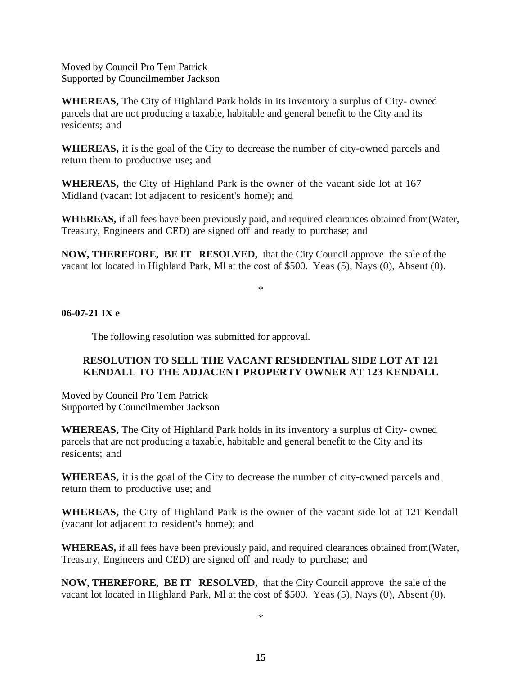Moved by Council Pro Tem Patrick Supported by Councilmember Jackson

**WHEREAS,** The City of Highland Park holds in its inventory a surplus of City- owned parcels that are not producing a taxable, habitable and general benefit to the City and its residents; and

**WHEREAS,** it is the goal of the City to decrease the number of city-owned parcels and return them to productive use; and

**WHEREAS,** the City of Highland Park is the owner of the vacant side lot at 167 Midland (vacant lot adjacent to resident's home); and

**WHEREAS,** if all fees have been previously paid, and required clearances obtained from(Water, Treasury, Engineers and CED) are signed off and ready to purchase; and

**NOW, THEREFORE, BE IT RESOLVED,** that the City Council approve the sale of the vacant lot located in Highland Park, Ml at the cost of \$500. Yeas (5), Nays (0), Absent (0).

\*

## **06-07-21 IX e**

The following resolution was submitted for approval.

## **RESOLUTION TO SELL THE VACANT RESIDENTIAL SIDE LOT AT 121 KENDALL TO THE ADJACENT PROPERTY OWNER AT 123 KENDALL**

Moved by Council Pro Tem Patrick Supported by Councilmember Jackson

**WHEREAS,** The City of Highland Park holds in its inventory a surplus of City- owned parcels that are not producing a taxable, habitable and general benefit to the City and its residents; and

**WHEREAS,** it is the goal of the City to decrease the number of city-owned parcels and return them to productive use; and

**WHEREAS,** the City of Highland Park is the owner of the vacant side lot at 121 Kendall (vacant lot adjacent to resident's home); and

**WHEREAS,** if all fees have been previously paid, and required clearances obtained from(Water, Treasury, Engineers and CED) are signed off and ready to purchase; and

**NOW, THEREFORE, BE IT RESOLVED,** that the City Council approve the sale of the vacant lot located in Highland Park, Ml at the cost of \$500. Yeas (5), Nays (0), Absent (0).

\*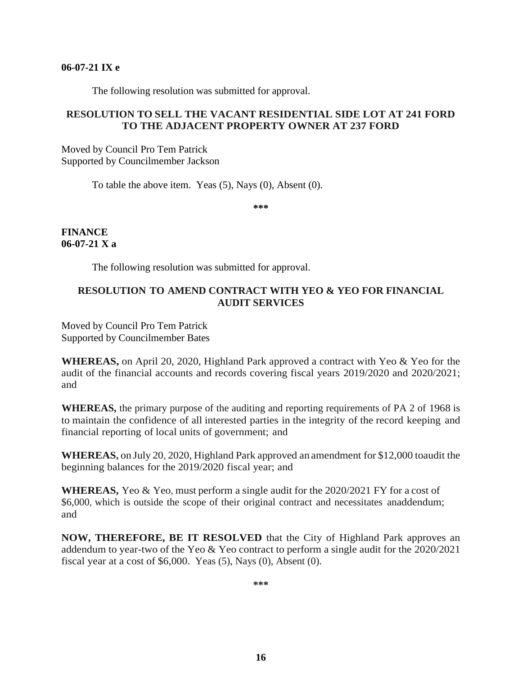#### **06-07-21 IX e**

The following resolution was submitted for approval.

## **RESOLUTION TO SELL THE VACANT RESIDENTIAL SIDE LOT AT 241 FORD TO THE ADJACENT PROPERTY OWNER AT 237 FORD**

Moved by Council Pro Tem Patrick Supported by Councilmember Jackson

To table the above item. Yeas (5), Nays (0), Absent (0).

**\*\*\***

**FINANCE 06-07-21 X a**

The following resolution was submitted for approval.

# **RESOLUTION TO AMEND CONTRACT WITH YEO & YEO FOR FINANCIAL AUDIT SERVICES**

Moved by Council Pro Tem Patrick Supported by Councilmember Bates

**WHEREAS,** on April 20, 2020, Highland Park approved a contract with Yeo & Yeo for the audit of the financial accounts and records covering fiscal years 2019/2020 and 2020/2021; and

**WHEREAS,** the primary purpose of the auditing and reporting requirements of PA 2 of 1968 is to maintain the confidence of all interested parties in the integrity of the record keeping and financial reporting of local units of government; and

**WHEREAS,** on July 20, 2020, Highland Park approved an amendment for \$12,000 toaudit the beginning balances for the 2019/2020 fiscal year; and

**WHEREAS,** Yeo & Yeo, must perform a single audit for the 2020/2021 FY for a cost of \$6,000, which is outside the scope of their original contract and necessitates anaddendum; and

**NOW, THEREFORE, BE IT RESOLVED** that the City of Highland Park approves an addendum to year-two of the Yeo & Yeo contract to perform a single audit for the 2020/2021 fiscal year at a cost of \$6,000. Yeas (5), Nays (0), Absent (0).

**\*\*\***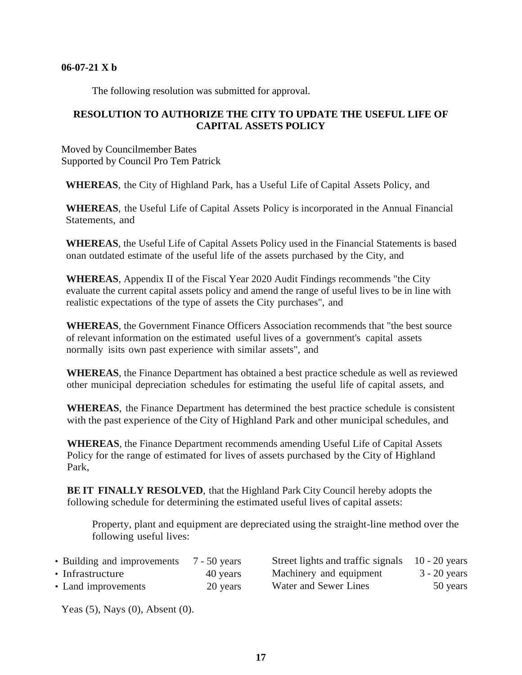#### **06-07-21 X b**

The following resolution was submitted for approval.

# **RESOLUTION TO AUTHORIZE THE CITY TO UPDATE THE USEFUL LIFE OF CAPITAL ASSETS POLICY**

Moved by Councilmember Bates Supported by Council Pro Tem Patrick

**WHEREAS**, the City of Highland Park, has a Useful Life of Capital Assets Policy, and

**WHEREAS**, the Useful Life of Capital Assets Policy is incorporated in the Annual Financial Statements, and

**WHEREAS**, the Useful Life of Capital Assets Policy used in the Financial Statements is based onan outdated estimate of the useful life of the assets purchased by the City, and

**WHEREAS**, Appendix II of the Fiscal Year 2020 Audit Findings recommends "the City evaluate the current capital assets policy and amend the range of useful lives to be in line with realistic expectations of the type of assets the City purchases", and

**WHEREAS**, the Government Finance Officers Association recommends that "the best source of relevant information on the estimated useful lives of a government's capital assets normally isits own past experience with similar assets", and

**WHEREAS**, the Finance Department has obtained a best practice schedule as well as reviewed other municipal depreciation schedules for estimating the useful life of capital assets, and

**WHEREAS**, the Finance Department has determined the best practice schedule is consistent with the past experience of the City of Highland Park and other municipal schedules, and

**WHEREAS**, the Finance Department recommends amending Useful Life of Capital Assets Policy for the range of estimated for lives of assets purchased by the City of Highland Park,

**BE IT FINALLY RESOLVED**, that the Highland Park City Council hereby adopts the following schedule for determining the estimated useful lives of capital assets:

Property, plant and equipment are depreciated using the straight-line method over the following useful lives:

| • Building and improvements | 7 - 50 years |
|-----------------------------|--------------|
| • Infrastructure            | 40 years     |

| • Building and improvements | $7 - 50$ years | Street lights and traffic signals | $10 - 20$ years |
|-----------------------------|----------------|-----------------------------------|-----------------|
| • Infrastructure            | 40 years       | Machinery and equipment           | $3 - 20$ years  |
| • Land improvements         | 20 years       | Water and Sewer Lines             | 50 years        |

Yeas (5), Nays (0), Absent (0).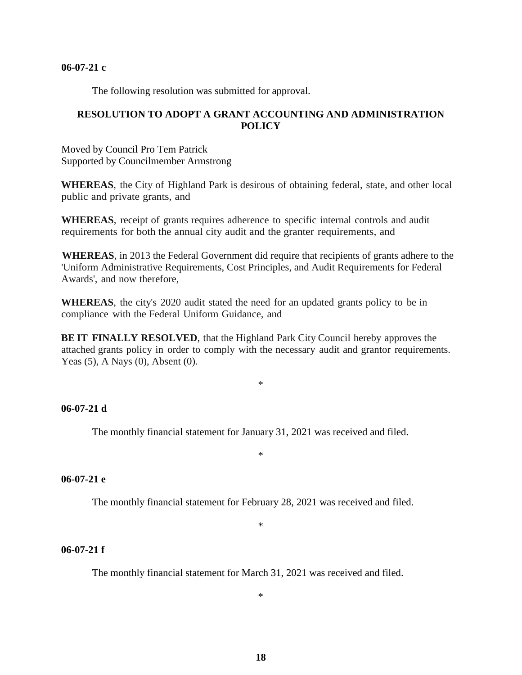#### **06-07-21 c**

The following resolution was submitted for approval.

## **RESOLUTION TO ADOPT A GRANT ACCOUNTING AND ADMINISTRATION POLICY**

Moved by Council Pro Tem Patrick Supported by Councilmember Armstrong

**WHEREAS**, the City of Highland Park is desirous of obtaining federal, state, and other local public and private grants, and

**WHEREAS**, receipt of grants requires adherence to specific internal controls and audit requirements for both the annual city audit and the granter requirements, and

**WHEREAS**, in 2013 the Federal Government did require that recipients of grants adhere to the 'Uniform Administrative Requirements, Cost Principles, and Audit Requirements for Federal Awards', and now therefore,

**WHEREAS**, the city's 2020 audit stated the need for an updated grants policy to be in compliance with the Federal Uniform Guidance, and

**BE IT FINALLY RESOLVED**, that the Highland Park City Council hereby approves the attached grants policy in order to comply with the necessary audit and grantor requirements. Yeas (5), A Nays (0), Absent (0).

\*

## **06-07-21 d**

The monthly financial statement for January 31, 2021 was received and filed.

\*

## **06-07-21 e**

The monthly financial statement for February 28, 2021 was received and filed.

\*

#### **06-07-21 f**

The monthly financial statement for March 31, 2021 was received and filed.

\*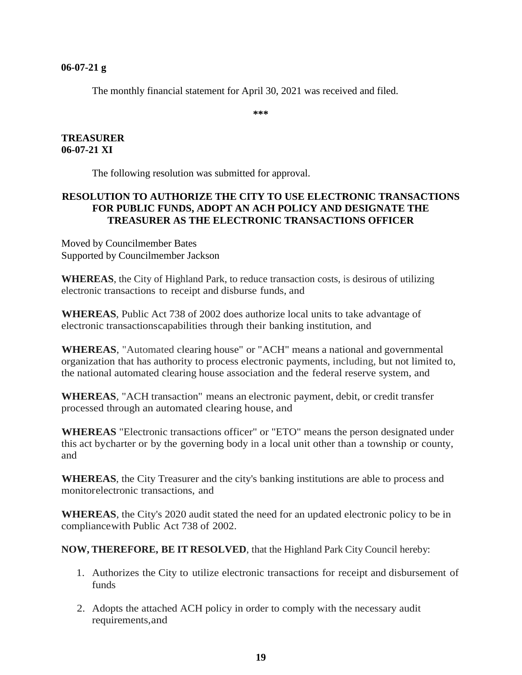#### **06-07-21 g**

The monthly financial statement for April 30, 2021 was received and filed.

**\*\*\***

## **TREASURER 06-07-21 XI**

The following resolution was submitted for approval.

# **RESOLUTION TO AUTHORIZE THE CITY TO USE ELECTRONIC TRANSACTIONS FOR PUBLIC FUNDS, ADOPT AN ACH POLICY AND DESIGNATE THE TREASURER AS THE ELECTRONIC TRANSACTIONS OFFICER**

Moved by Councilmember Bates Supported by Councilmember Jackson

**WHEREAS**, the City of Highland Park, to reduce transaction costs, is desirous of utilizing electronic transactions to receipt and disburse funds, and

**WHEREAS**, Public Act 738 of 2002 does authorize local units to take advantage of electronic transactionscapabilities through their banking institution, and

**WHEREAS**, "Automated clearing house" or "ACH" means a national and governmental organization that has authority to process electronic payments, including, but not limited to, the national automated clearing house association and the federal reserve system, and

**WHEREAS**, "ACH transaction" means an electronic payment, debit, or credit transfer processed through an automated clearing house, and

**WHEREAS** "Electronic transactions officer" or "ETO" means the person designated under this act bycharter or by the governing body in a local unit other than a township or county, and

**WHEREAS**, the City Treasurer and the city's banking institutions are able to process and monitorelectronic transactions, and

**WHEREAS**, the City's 2020 audit stated the need for an updated electronic policy to be in compliancewith Public Act 738 of 2002.

**NOW, THEREFORE, BE IT RESOLVED**, that the Highland Park City Council hereby:

- 1. Authorizes the City to utilize electronic transactions for receipt and disbursement of funds
- 2. Adopts the attached ACH policy in order to comply with the necessary audit requirements,and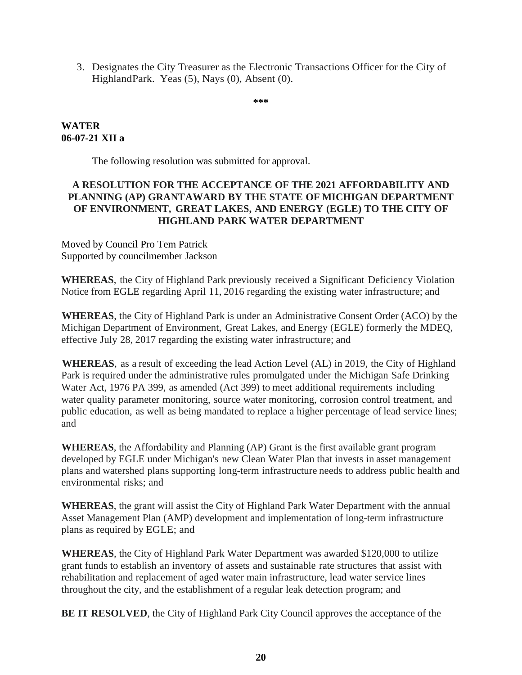3. Designates the City Treasurer as the Electronic Transactions Officer for the City of HighlandPark. Yeas (5), Nays (0), Absent (0).

**\*\*\***

# **WATER 06-07-21 XII a**

The following resolution was submitted for approval.

# **A RESOLUTION FOR THE ACCEPTANCE OF THE 2021 AFFORDABILITY AND PLANNING (AP) GRANTAWARD BY THE STATE OF MICHIGAN DEPARTMENT OF ENVIRONMENT, GREAT LAKES, AND ENERGY (EGLE) TO THE CITY OF HIGHLAND PARK WATER DEPARTMENT**

Moved by Council Pro Tem Patrick Supported by councilmember Jackson

**WHEREAS**, the City of Highland Park previously received a Significant Deficiency Violation Notice from EGLE regarding April 11, 2016 regarding the existing water infrastructure; and

**WHEREAS**, the City of Highland Park is under an Administrative Consent Order (ACO) by the Michigan Department of Environment, Great Lakes, and Energy (EGLE) formerly the MDEQ, effective July 28, 2017 regarding the existing water infrastructure; and

**WHEREAS**, as a result of exceeding the lead Action Level (AL) in 2019, the City of Highland Park is required under the administrative rules promulgated under the Michigan Safe Drinking Water Act, 1976 PA 399, as amended (Act 399) to meet additional requirements including water quality parameter monitoring, source water monitoring, corrosion control treatment, and public education, as well as being mandated to replace a higher percentage of lead service lines; and

**WHEREAS**, the Affordability and Planning (AP) Grant is the first available grant program developed by EGLE under Michigan's new Clean Water Plan that invests in asset management plans and watershed plans supporting long-term infrastructure needs to address public health and environmental risks; and

**WHEREAS**, the grant will assist the City of Highland Park Water Department with the annual Asset Management Plan (AMP) development and implementation of long-term infrastructure plans as required by EGLE; and

**WHEREAS**, the City of Highland Park Water Department was awarded \$120,000 to utilize grant funds to establish an inventory of assets and sustainable rate structures that assist with rehabilitation and replacement of aged water main infrastructure, lead water service lines throughout the city, and the establishment of a regular leak detection program; and

**BE IT RESOLVED**, the City of Highland Park City Council approves the acceptance of the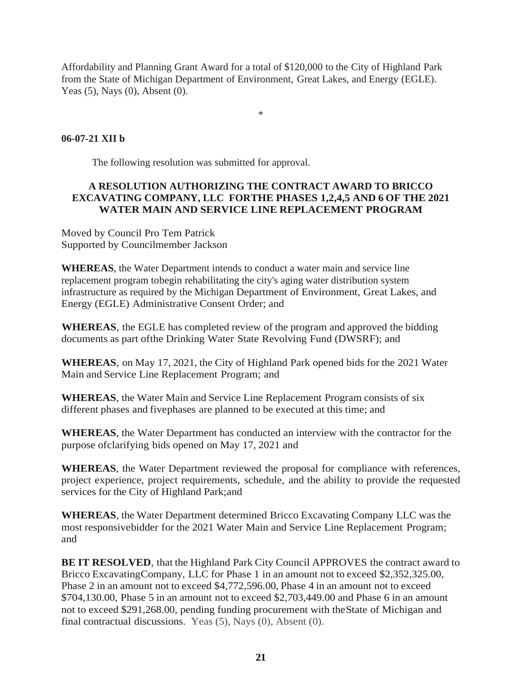Affordability and Planning Grant Award for a total of \$120,000 to the City of Highland Park from the State of Michigan Department of Environment, Great Lakes, and Energy (EGLE). Yeas (5), Nays (0), Absent (0).

\*

# **06-07-21 XII b**

The following resolution was submitted for approval.

## **A RESOLUTION AUTHORIZING THE CONTRACT AWARD TO BRICCO EXCAVATING COMPANY, LLC FORTHE PHASES 1,2,4,5 AND 6 OF THE 2021 WATER MAIN AND SERVICE LINE REPLACEMENT PROGRAM**

Moved by Council Pro Tem Patrick Supported by Councilmember Jackson

**WHEREAS**, the Water Department intends to conduct a water main and service line replacement program tobegin rehabilitating the city's aging water distribution system infrastructure as required by the Michigan Department of Environment, Great Lakes, and Energy (EGLE) Administrative Consent Order; and

**WHEREAS**, the EGLE has completed review of the program and approved the bidding documents as part ofthe Drinking Water State Revolving Fund (DWSRF); and

**WHEREAS**, on May 17, 2021, the City of Highland Park opened bids for the 2021 Water Main and Service Line Replacement Program; and

**WHEREAS**, the Water Main and Service Line Replacement Program consists of six different phases and fivephases are planned to be executed at this time; and

**WHEREAS**, the Water Department has conducted an interview with the contractor for the purpose ofclarifying bids opened on May 17, 2021 and

**WHEREAS**, the Water Department reviewed the proposal for compliance with references, project experience, project requirements, schedule, and the ability to provide the requested services for the City of Highland Park;and

**WHEREAS**, the Water Department determined Bricco Excavating Company LLC was the most responsivebidder for the 2021 Water Main and Service Line Replacement Program; and

**BE IT RESOLVED**, that the Highland Park City Council APPROVES the contract award to Bricco ExcavatingCompany, LLC for Phase 1 in an amount not to exceed \$2,352,325.00, Phase 2 in an amount not to exceed \$4,772,596.00, Phase 4 in an amount not to exceed \$704,130.00, Phase 5 in an amount not to exceed \$2,703,449.00 and Phase 6 in an amount not to exceed \$291,268.00, pending funding procurement with theState of Michigan and final contractual discussions. Yeas (5), Nays (0), Absent (0).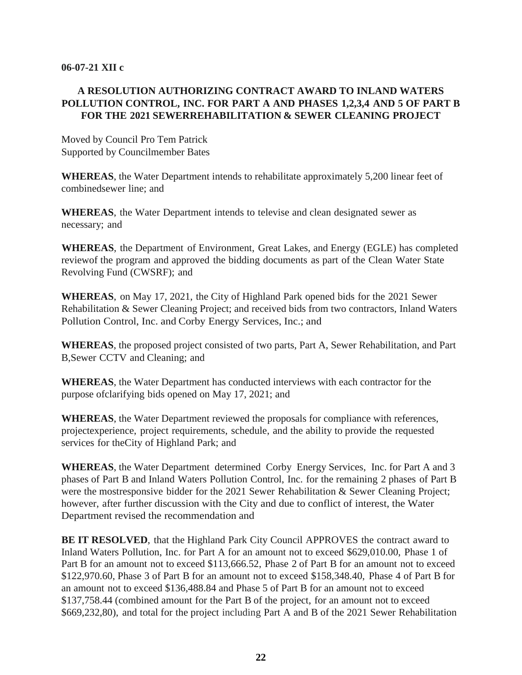#### **06-07-21 XII c**

# **A RESOLUTION AUTHORIZING CONTRACT AWARD TO INLAND WATERS POLLUTION CONTROL, INC. FOR PART A AND PHASES 1,2,3,4 AND 5 OF PART B FOR THE 2021 SEWERREHABILITATION & SEWER CLEANING PROJECT**

Moved by Council Pro Tem Patrick Supported by Councilmember Bates

**WHEREAS**, the Water Department intends to rehabilitate approximately 5,200 linear feet of combinedsewer line; and

**WHEREAS**, the Water Department intends to televise and clean designated sewer as necessary; and

**WHEREAS**, the Department of Environment, Great Lakes, and Energy (EGLE) has completed reviewof the program and approved the bidding documents as part of the Clean Water State Revolving Fund (CWSRF); and

**WHEREAS**, on May 17, 2021, the City of Highland Park opened bids for the 2021 Sewer Rehabilitation & Sewer Cleaning Project; and received bids from two contractors, Inland Waters Pollution Control, Inc. and Corby Energy Services, Inc.; and

**WHEREAS**, the proposed project consisted of two parts, Part A, Sewer Rehabilitation, and Part B,Sewer CCTV and Cleaning; and

**WHEREAS**, the Water Department has conducted interviews with each contractor for the purpose ofclarifying bids opened on May 17, 2021; and

**WHEREAS**, the Water Department reviewed the proposals for compliance with references, projectexperience, project requirements, schedule, and the ability to provide the requested services for theCity of Highland Park; and

**WHEREAS**, the Water Department determined Corby Energy Services, Inc. for Part A and 3 phases of Part B and Inland Waters Pollution Control, Inc. for the remaining 2 phases of Part B were the mostresponsive bidder for the 2021 Sewer Rehabilitation & Sewer Cleaning Project; however, after further discussion with the City and due to conflict of interest, the Water Department revised the recommendation and

**BE IT RESOLVED**, that the Highland Park City Council APPROVES the contract award to Inland Waters Pollution, Inc. for Part A for an amount not to exceed \$629,010.00, Phase 1 of Part B for an amount not to exceed \$113,666.52, Phase 2 of Part B for an amount not to exceed \$122,970.60, Phase 3 of Part B for an amount not to exceed \$158,348.40, Phase 4 of Part B for an amount not to exceed \$136,488.84 and Phase 5 of Part B for an amount not to exceed \$137,758.44 (combined amount for the Part B of the project, for an amount not to exceed \$669,232,80), and total for the project including Part A and B of the 2021 Sewer Rehabilitation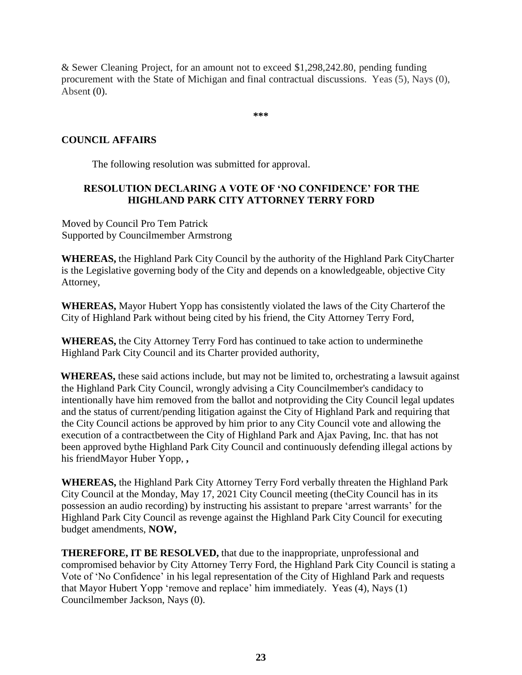& Sewer Cleaning Project, for an amount not to exceed \$1,298,242.80, pending funding procurement with the State of Michigan and final contractual discussions. Yeas (5), Nays (0), Absent (0).

**\*\*\***

# **COUNCIL AFFAIRS**

The following resolution was submitted for approval.

## **RESOLUTION DECLARING A VOTE OF 'NO CONFIDENCE' FOR THE HIGHLAND PARK CITY ATTORNEY TERRY FORD**

Moved by Council Pro Tem Patrick Supported by Councilmember Armstrong

**WHEREAS,** the Highland Park City Council by the authority of the Highland Park CityCharter is the Legislative governing body of the City and depends on a knowledgeable, objective City Attorney,

**WHEREAS,** Mayor Hubert Yopp has consistently violated the laws of the City Charterof the City of Highland Park without being cited by his friend, the City Attorney Terry Ford,

**WHEREAS,** the City Attorney Terry Ford has continued to take action to underminethe Highland Park City Council and its Charter provided authority,

**WHEREAS,** these said actions include, but may not be limited to, orchestrating a lawsuit against the Highland Park City Council, wrongly advising a City Councilmember's candidacy to intentionally have him removed from the ballot and notproviding the City Council legal updates and the status of current/pending litigation against the City of Highland Park and requiring that the City Council actions be approved by him prior to any City Council vote and allowing the execution of a contractbetween the City of Highland Park and Ajax Paving, Inc. that has not been approved bythe Highland Park City Council and continuously defending illegal actions by his friendMayor Huber Yopp, **,**

**WHEREAS,** the Highland Park City Attorney Terry Ford verbally threaten the Highland Park City Council at the Monday, May 17, 2021 City Council meeting (theCity Council has in its possession an audio recording) by instructing his assistant to prepare 'arrest warrants' for the Highland Park City Council as revenge against the Highland Park City Council for executing budget amendments, **NOW,**

**THEREFORE, IT BE RESOLVED,** that due to the inappropriate, unprofessional and compromised behavior by City Attorney Terry Ford, the Highland Park City Council is stating a Vote of 'No Confidence' in his legal representation of the City of Highland Park and requests that Mayor Hubert Yopp 'remove and replace' him immediately. Yeas (4), Nays (1) Councilmember Jackson, Nays (0).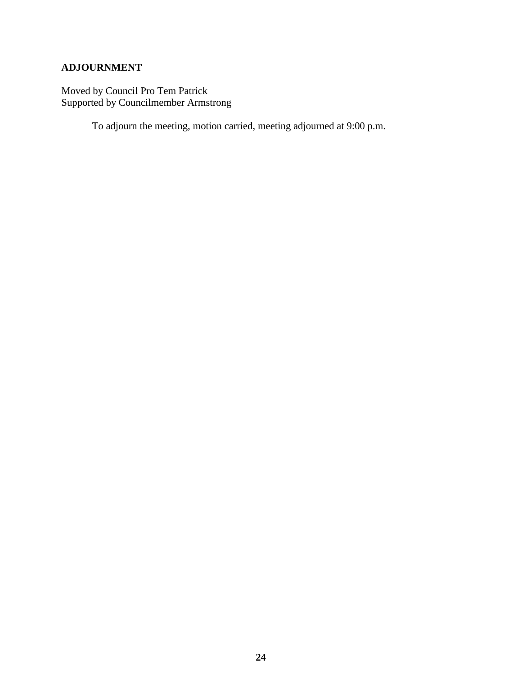# **ADJOURNMENT**

Moved by Council Pro Tem Patrick Supported by Councilmember Armstrong

To adjourn the meeting, motion carried, meeting adjourned at 9:00 p.m.